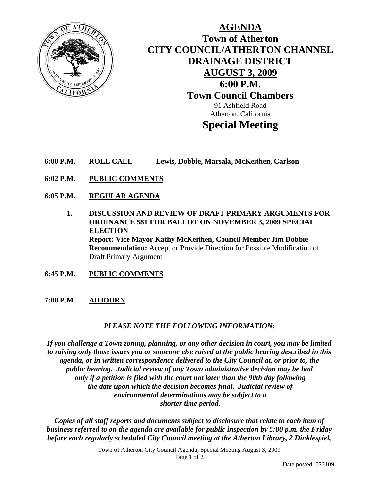

**AGENDA Town of Atherton CITY COUNCIL/ATHERTON CHANNEL DRAINAGE DISTRICT AUGUST 3, 2009 6:00 P.M. Town Council Chambers**  91 Ashfield Road Atherton, California **Special Meeting** 

- **6:00 P.M. ROLL CALL Lewis, Dobbie, Marsala, McKeithen, Carlson**
- **6:02 P.M. PUBLIC COMMENTS**
- **6:05 P.M. REGULAR AGENDA**
	- **1. DISCUSSION AND REVIEW OF DRAFT PRIMARY ARGUMENTS FOR ORDINANCE 581 FOR BALLOT ON NOVEMBER 3, 2009 SPECIAL ELECTION Report: Vice Mayor Kathy McKeithen, Council Member Jim Dobbie Recommendation:** Accept or Provide Direction for Possible Modification of Draft Primary Argument
- **6:45 P.M. PUBLIC COMMENTS**

## **7:00 P.M. ADJOURN**

## *PLEASE NOTE THE FOLLOWING INFORMATION:*

*If you challenge a Town zoning, planning, or any other decision in court, you may be limited to raising only those issues you or someone else raised at the public hearing described in this agenda, or in written correspondence delivered to the City Council at, or prior to, the public hearing. Judicial review of any Town administrative decision may be had only if a petition is filed with the court not later than the 90th day following the date upon which the decision becomes final. Judicial review of environmental determinations may be subject to a shorter time period.* 

*Copies of all staff reports and documents subject to disclosure that relate to each item of business referred to on the agenda are available for public inspection by 5:00 p.m. the Friday before each regularly scheduled City Council meeting at the Atherton Library, 2 Dinklespiel,* 

> Town of Atherton City Council Agenda, Special Meeting August 3, 2009 Page 1 of 2